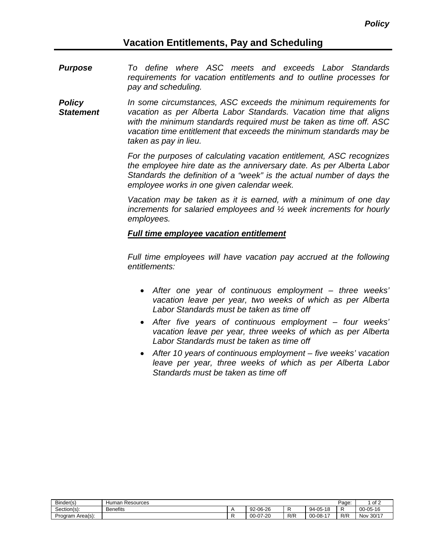# **Vacation Entitlements, Pay and Scheduling**

- *Purpose To define where ASC meets and exceeds Labor Standards requirements for vacation entitlements and to outline processes for pay and scheduling.*
- *Policy Statement In some circumstances, ASC exceeds the minimum requirements for vacation as per Alberta Labor Standards. Vacation time that aligns with the minimum standards required must be taken as time off. ASC vacation time entitlement that exceeds the minimum standards may be taken as pay in lieu.*

*For the purposes of calculating vacation entitlement, ASC recognizes the employee hire date as the anniversary date. As per Alberta Labor Standards the definition of a "week" is the actual number of days the employee works in one given calendar week.*

*Vacation may be taken as it is earned, with a minimum of one day increments for salaried employees and ½ week increments for hourly employees.*

#### *Full time employee vacation entitlement*

*Full time employees will have vacation pay accrued at the following entitlements:*

- *After one year of continuous employment – three weeks' vacation leave per year, two weeks of which as per Alberta Labor Standards must be taken as time off*
- *After five years of continuous employment – four weeks' vacation leave per year, three weeks of which as per Alberta Labor Standards must be taken as time off*
- *After 10 years of continuous employment – five weeks' vacation leave per year, three weeks of which as per Alberta Labor Standards must be taken as time off*

| Binder(s)           | Human<br>Resources |                                        |     |                                     | Page: | of 2         |
|---------------------|--------------------|----------------------------------------|-----|-------------------------------------|-------|--------------|
| Section(s):         | <b>Benefits</b>    | 92-06-26                               | . . | $-05-18$<br>$94-$                   | -     | 00-05-16     |
| Area(s):<br>Program |                    | $\sim$<br>$7 - 20$<br>$00 - 0$<br>ו ש־ | R/R | $\overline{a}$<br>$-08-1$<br>$00 -$ | R/R   | 30/17<br>Nov |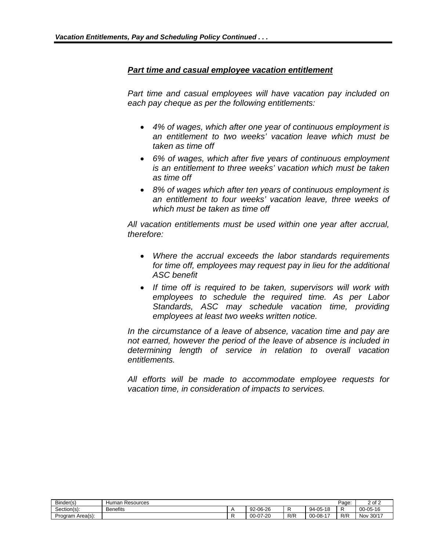#### *Part time and casual employee vacation entitlement*

*Part time and casual employees will have vacation pay included on each pay cheque as per the following entitlements:*

- *4% of wages, which after one year of continuous employment is an entitlement to two weeks' vacation leave which must be taken as time off*
- *6% of wages, which after five years of continuous employment is an entitlement to three weeks' vacation which must be taken as time off*
- *8% of wages which after ten years of continuous employment is an entitlement to four weeks' vacation leave, three weeks of which must be taken as time off*

*All vacation entitlements must be used within one year after accrual, therefore:*

- *Where the accrual exceeds the labor standards requirements for time off, employees may request pay in lieu for the additional ASC benefit*
- *If time off is required to be taken, supervisors will work with employees to schedule the required time. As per Labor Standards, ASC may schedule vacation time, providing employees at least two weeks written notice.*

*In the circumstance of a leave of absence, vacation time and pay are not earned, however the period of the leave of absence is included in determining length of service in relation to overall vacation entitlements.*

*All efforts will be made to accommodate employee requests for vacation time, in consideration of impacts to services.*

| Binder(s)           | Humar<br>Resources |          |     |                                | Page | of $2$<br>ົ    |
|---------------------|--------------------|----------|-----|--------------------------------|------|----------------|
| ~<br>Section(s):    | <b>Benefits</b>    | 92-06-26 |     | $-05-18$<br>$94 -$             | -    | $00 - 05 - 16$ |
| Program<br>Area(s): |                    | 00-07-20 | R/R | $\rightarrow$<br>$00 - 08 - 1$ | R/R  | 30/17<br>Nov   |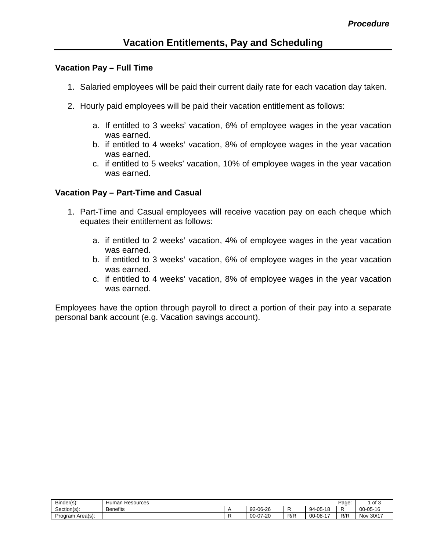## **Vacation Pay – Full Time**

- 1. Salaried employees will be paid their current daily rate for each vacation day taken.
- 2. Hourly paid employees will be paid their vacation entitlement as follows:
	- a. If entitled to 3 weeks' vacation, 6% of employee wages in the year vacation was earned.
	- b. if entitled to 4 weeks' vacation, 8% of employee wages in the year vacation was earned.
	- c. if entitled to 5 weeks' vacation, 10% of employee wages in the year vacation was earned.

## **Vacation Pay – Part-Time and Casual**

- 1. Part-Time and Casual employees will receive vacation pay on each cheque which equates their entitlement as follows:
	- a. if entitled to 2 weeks' vacation, 4% of employee wages in the year vacation was earned.
	- b. if entitled to 3 weeks' vacation, 6% of employee wages in the year vacation was earned.
	- c. if entitled to 4 weeks' vacation, 8% of employee wages in the year vacation was earned.

Employees have the option through payroll to direct a portion of their pay into a separate personal bank account (e.g. Vacation savings account).

| Binder(s):          | Humar<br>Resources |          |     |                                           | Page: | of 3           |
|---------------------|--------------------|----------|-----|-------------------------------------------|-------|----------------|
| Section(s):         | <b>Benefits</b>    | 92-06-26 |     | $-05-18$<br>94-                           | -     | $00 - 05 - 16$ |
| Area(s):<br>Program |                    | 00-07-20 | R/R | $\overline{\phantom{a}}$<br>$00 - 08 - 1$ | R/R   | 30/17<br>Nov   |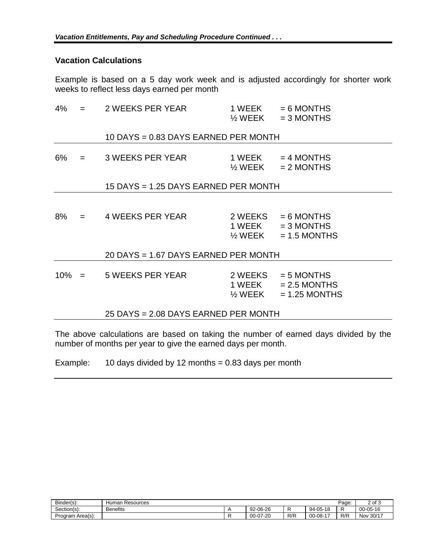#### **Vacation Calculations**

Example is based on a 5 day work week and is adjusted accordingly for shorter work weeks to reflect less days earned per month

|    |                                      | $4\% = 2 \text{ WEEKS PER YEAR}$     | 1 WEEK<br>$\frac{1}{2}$ WEEK | $= 6$ MONTHS<br>$= 3$ MONTHS                                                  |  |  |  |  |  |  |
|----|--------------------------------------|--------------------------------------|------------------------------|-------------------------------------------------------------------------------|--|--|--|--|--|--|
|    |                                      | 10 DAYS = 0.83 DAYS EARNED PER MONTH |                              |                                                                               |  |  |  |  |  |  |
| 6% |                                      | $=$ 3 WEEKS PER YEAR                 |                              | $1 WEEK = 4 MONTHS$<br>$\frac{1}{2}$ WEEK = 2 MONTHS                          |  |  |  |  |  |  |
|    |                                      | 15 DAYS = 1.25 DAYS EARNED PER MONTH |                              |                                                                               |  |  |  |  |  |  |
| 8% |                                      | $=$ 4 WEEKS PER YEAR                 | $\frac{1}{2}$ WEEK           | $2 WEEKS = 6 MONTHS$<br>$1 \text{ WEEK} = 3 \text{ MONTHS}$<br>$= 1.5$ MONTHS |  |  |  |  |  |  |
|    |                                      | 20 DAYS = 1.67 DAYS EARNED PER MONTH |                              |                                                                               |  |  |  |  |  |  |
|    |                                      | $10\% = 5$ WEEKS PER YEAR            | 1 WEEK<br>$\frac{1}{2}$ WEEK | $2 WEEKS = 5 MONTHS$<br>$= 2.5$ MONTHS<br>$= 1.25$ MONTHS                     |  |  |  |  |  |  |
|    | 25 DAYS = 2.08 DAYS EARNED PER MONTH |                                      |                              |                                                                               |  |  |  |  |  |  |

The above calculations are based on taking the number of earned days divided by the number of months per year to give the earned days per month.

Example:  $10 \text{ days divided by } 12 \text{ months} = 0.83 \text{ days per month}$ 

| Binder(s):          | Human<br>Resources |          |     |                                     | Page: | 2 of 3              |
|---------------------|--------------------|----------|-----|-------------------------------------|-------|---------------------|
| ∽<br>Section(s):    | <b>Benefits</b>    | 92-06-26 |     | -05-18<br><b>40</b><br>$94-$<br>. U |       | $00 - 05 - 16$      |
| Area(s):<br>Program |                    | 00-07-20 | R/R | $\rightarrow$<br>$00-08-$           | R/R   | 30/17<br><b>Nov</b> |